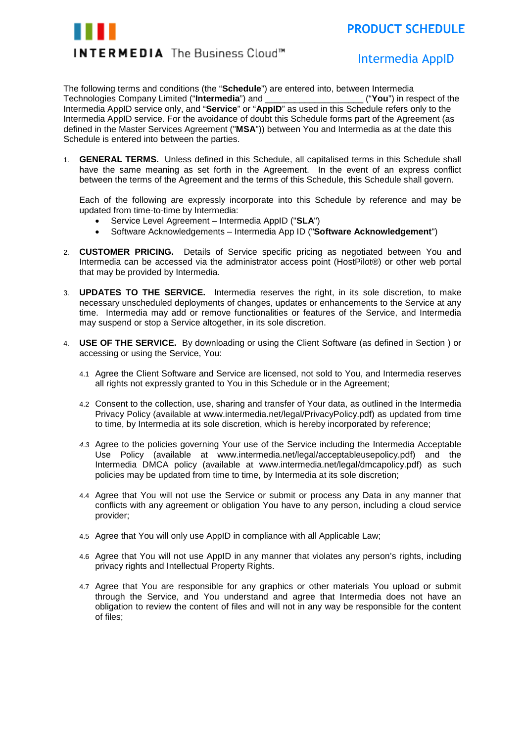

## Intermedia Intermedia AppID

The following terms and conditions (the "**Schedule**") are entered into, between Intermedia<br>Technologies Company Limited ("**Intermedia**") and ("**You")** in respect of the Technologies Company Limited ("**Intermedia**") and \_\_\_\_\_\_\_\_\_\_\_\_\_\_\_\_\_\_\_\_ ("**You**") in respect of the Intermedia AppID service only, and "**Service**" or "**AppID**" as used in this Schedule refers only to the Intermedia AppID service. For the avoidance of doubt this Schedule forms part of the Agreement (as defined in the Master Services Agreement ("**MSA**")) between You and Intermedia as at the date this Schedule is entered into between the parties.

1. **GENERAL TERMS.** Unless defined in this Schedule, all capitalised terms in this Schedule shall have the same meaning as set forth in the Agreement. In the event of an express conflict between the terms of the Agreement and the terms of this Schedule, this Schedule shall govern.

Each of the following are expressly incorporate into this Schedule by reference and may be updated from time-to-time by Intermedia:

- Service Level Agreement Intermedia AppID ("**SLA**")
- Software Acknowledgements Intermedia App ID ("**Software Acknowledgement**")
- 2. **CUSTOMER PRICING.** Details of Service specific pricing as negotiated between You and Intermedia can be accessed via the administrator access point (HostPilot®) or other web portal that may be provided by Intermedia.
- 3. **UPDATES TO THE SERVICE.** Intermedia reserves the right, in its sole discretion, to make necessary unscheduled deployments of changes, updates or enhancements to the Service at any time. Intermedia may add or remove functionalities or features of the Service, and Intermedia may suspend or stop a Service altogether, in its sole discretion.
- 4. **USE OF THE SERVICE.** By downloading or using the Client Software (as defined in Section ) or accessing or using the Service, You:
	- 4.1 Agree the Client Software and Service are licensed, not sold to You, and Intermedia reserves all rights not expressly granted to You in this Schedule or in the Agreement;
	- 4.2 Consent to the collection, use, sharing and transfer of Your data, as outlined in the Intermedia Privacy Policy (available at www.intermedia.net/legal/PrivacyPolicy.pdf) as updated from time to time, by Intermedia at its sole discretion, which is hereby incorporated by reference;
	- *4.3* Agree to the policies governing Your use of the Service including the Intermedia Acceptable Use Policy (available at www.intermedia.net/legal/acceptableusepolicy.pdf) and the Intermedia DMCA policy (available at www.intermedia.net/legal/dmcapolicy.pdf) as such policies may be updated from time to time, by Intermedia at its sole discretion;
	- 4.4 Agree that You will not use the Service or submit or process any Data in any manner that conflicts with any agreement or obligation You have to any person, including a cloud service provider;
	- 4.5 Agree that You will only use AppID in compliance with all Applicable Law;
	- 4.6 Agree that You will not use AppID in any manner that violates any person's rights, including privacy rights and Intellectual Property Rights.
	- 4.7 Agree that You are responsible for any graphics or other materials You upload or submit through the Service, and You understand and agree that Intermedia does not have an obligation to review the content of files and will not in any way be responsible for the content of files;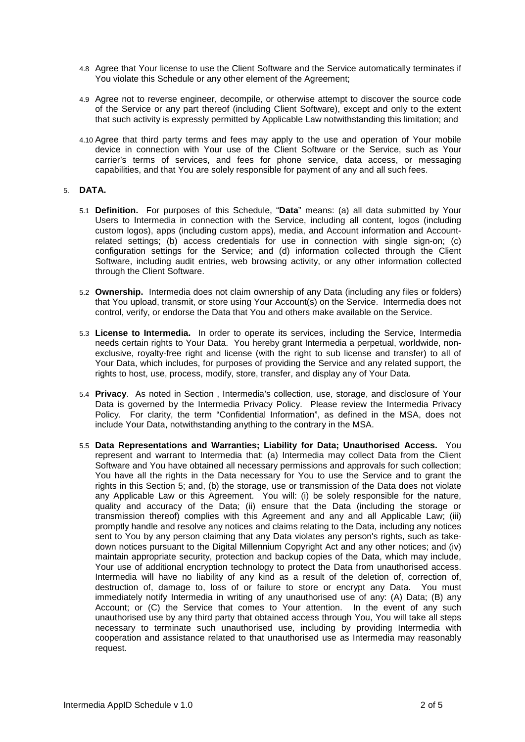- 4.8 Agree that Your license to use the Client Software and the Service automatically terminates if You violate this Schedule or any other element of the Agreement;
- 4.9 Agree not to reverse engineer, decompile, or otherwise attempt to discover the source code of the Service or any part thereof (including Client Software), except and only to the extent that such activity is expressly permitted by Applicable Law notwithstanding this limitation; and
- 4.10 Agree that third party terms and fees may apply to the use and operation of Your mobile device in connection with Your use of the Client Software or the Service, such as Your carrier's terms of services, and fees for phone service, data access, or messaging capabilities, and that You are solely responsible for payment of any and all such fees.

## 5. **DATA.**

- 5.1 **Definition.** For purposes of this Schedule, "**Data**" means: (a) all data submitted by Your Users to Intermedia in connection with the Service, including all content, logos (including custom logos), apps (including custom apps), media, and Account information and Accountrelated settings; (b) access credentials for use in connection with single sign-on; (c) configuration settings for the Service; and (d) information collected through the Client Software, including audit entries, web browsing activity, or any other information collected through the Client Software.
- 5.2 **Ownership.** Intermedia does not claim ownership of any Data (including any files or folders) that You upload, transmit, or store using Your Account(s) on the Service. Intermedia does not control, verify, or endorse the Data that You and others make available on the Service.
- 5.3 **License to Intermedia.** In order to operate its services, including the Service, Intermedia needs certain rights to Your Data. You hereby grant Intermedia a perpetual, worldwide, nonexclusive, royalty-free right and license (with the right to sub license and transfer) to all of Your Data, which includes, for purposes of providing the Service and any related support, the rights to host, use, process, modify, store, transfer, and display any of Your Data.
- 5.4 **Privacy**. As noted in Section , Intermedia's collection, use, storage, and disclosure of Your Data is governed by the Intermedia Privacy Policy. Please review the Intermedia Privacy Policy. For clarity, the term "Confidential Information", as defined in the MSA, does not include Your Data, notwithstanding anything to the contrary in the MSA.
- 5.5 **Data Representations and Warranties; Liability for Data; Unauthorised Access.** You represent and warrant to Intermedia that: (a) Intermedia may collect Data from the Client Software and You have obtained all necessary permissions and approvals for such collection; You have all the rights in the Data necessary for You to use the Service and to grant the rights in this Section 5; and, (b) the storage, use or transmission of the Data does not violate any Applicable Law or this Agreement. You will: (i) be solely responsible for the nature, quality and accuracy of the Data; (ii) ensure that the Data (including the storage or transmission thereof) complies with this Agreement and any and all Applicable Law; (iii) promptly handle and resolve any notices and claims relating to the Data, including any notices sent to You by any person claiming that any Data violates any person's rights, such as takedown notices pursuant to the Digital Millennium Copyright Act and any other notices; and (iv) maintain appropriate security, protection and backup copies of the Data, which may include, Your use of additional encryption technology to protect the Data from unauthorised access. Intermedia will have no liability of any kind as a result of the deletion of, correction of, destruction of, damage to, loss of or failure to store or encrypt any Data. You must immediately notify Intermedia in writing of any unauthorised use of any: (A) Data; (B) any Account; or (C) the Service that comes to Your attention. In the event of any such unauthorised use by any third party that obtained access through You, You will take all steps necessary to terminate such unauthorised use, including by providing Intermedia with cooperation and assistance related to that unauthorised use as Intermedia may reasonably request.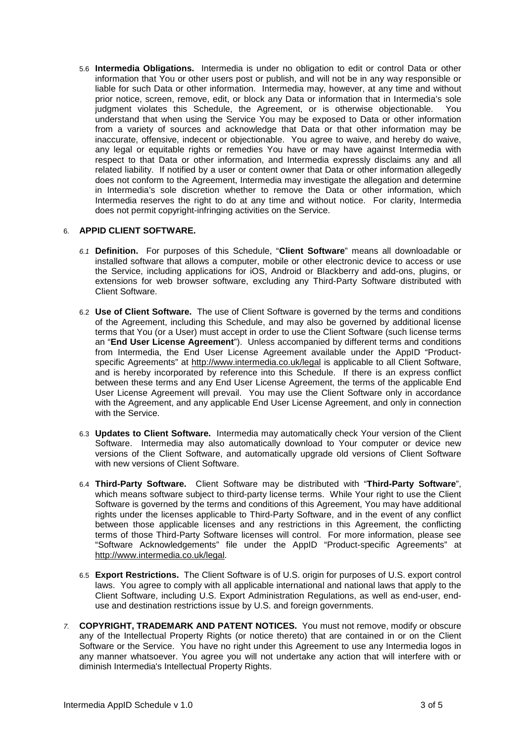5.6 **Intermedia Obligations.** Intermedia is under no obligation to edit or control Data or other information that You or other users post or publish, and will not be in any way responsible or liable for such Data or other information. Intermedia may, however, at any time and without prior notice, screen, remove, edit, or block any Data or information that in Intermedia's sole judgment violates this Schedule, the Agreement, or is otherwise objectionable. You understand that when using the Service You may be exposed to Data or other information from a variety of sources and acknowledge that Data or that other information may be inaccurate, offensive, indecent or objectionable. You agree to waive, and hereby do waive, any legal or equitable rights or remedies You have or may have against Intermedia with respect to that Data or other information, and Intermedia expressly disclaims any and all related liability. If notified by a user or content owner that Data or other information allegedly does not conform to the Agreement, Intermedia may investigate the allegation and determine in Intermedia's sole discretion whether to remove the Data or other information, which Intermedia reserves the right to do at any time and without notice. For clarity, Intermedia does not permit copyright-infringing activities on the Service.

## 6. **APPID CLIENT SOFTWARE.**

- *6.1* **Definition.** For purposes of this Schedule, "**Client Software**" means all downloadable or installed software that allows a computer, mobile or other electronic device to access or use the Service, including applications for iOS, Android or Blackberry and add-ons, plugins, or extensions for web browser software, excluding any Third-Party Software distributed with Client Software.
- 6.2 **Use of Client Software.** The use of Client Software is governed by the terms and conditions of the Agreement, including this Schedule, and may also be governed by additional license terms that You (or a User) must accept in order to use the Client Software (such license terms an "**End User License Agreement**"). Unless accompanied by different terms and conditions from Intermedia, the End User License Agreement available under the AppID "Productspecific Agreements" at<http://www.intermedia.co.uk/legal> is applicable to all Client Software, and is hereby incorporated by reference into this Schedule. If there is an express conflict between these terms and any End User License Agreement, the terms of the applicable End User License Agreement will prevail. You may use the Client Software only in accordance with the Agreement, and any applicable End User License Agreement, and only in connection with the Service.
- 6.3 **Updates to Client Software.** Intermedia may automatically check Your version of the Client Software. Intermedia may also automatically download to Your computer or device new versions of the Client Software, and automatically upgrade old versions of Client Software with new versions of Client Software.
- 6.4 **Third-Party Software.** Client Software may be distributed with "**Third-Party Software**", which means software subject to third-party license terms. While Your right to use the Client Software is governed by the terms and conditions of this Agreement, You may have additional rights under the licenses applicable to Third-Party Software, and in the event of any conflict between those applicable licenses and any restrictions in this Agreement, the conflicting terms of those Third-Party Software licenses will control. For more information, please see "Software Acknowledgements" file under the AppID "Product-specific Agreements" at [http://www.intermedia.co.uk/legal.](http://www.intermedia.co.uk/legal)
- 6.5 **Export Restrictions.** The Client Software is of U.S. origin for purposes of U.S. export control laws. You agree to comply with all applicable international and national laws that apply to the Client Software, including U.S. Export Administration Regulations, as well as end-user, enduse and destination restrictions issue by U.S. and foreign governments.
- *7.* **COPYRIGHT, TRADEMARK AND PATENT NOTICES.** You must not remove, modify or obscure any of the Intellectual Property Rights (or notice thereto) that are contained in or on the Client Software or the Service. You have no right under this Agreement to use any Intermedia logos in any manner whatsoever. You agree you will not undertake any action that will interfere with or diminish Intermedia's Intellectual Property Rights.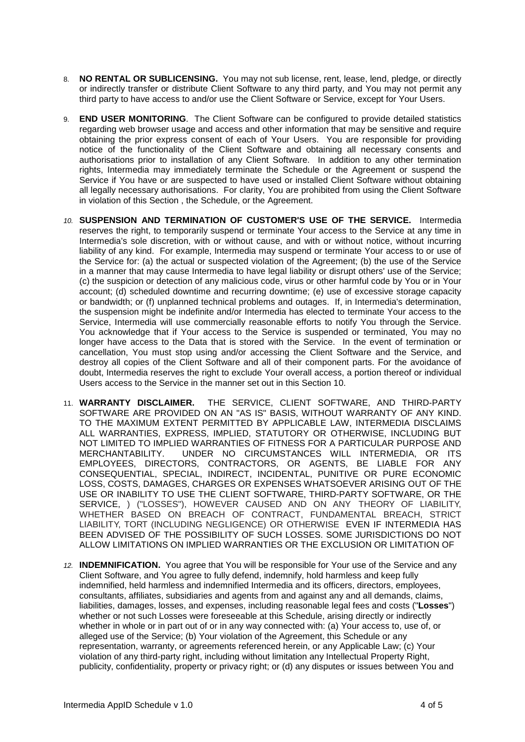- 8. **NO RENTAL OR SUBLICENSING.** You may not sub license, rent, lease, lend, pledge, or directly or indirectly transfer or distribute Client Software to any third party, and You may not permit any third party to have access to and/or use the Client Software or Service, except for Your Users.
- 9. **END USER MONITORING**. The Client Software can be configured to provide detailed statistics regarding web browser usage and access and other information that may be sensitive and require obtaining the prior express consent of each of Your Users. You are responsible for providing notice of the functionality of the Client Software and obtaining all necessary consents and authorisations prior to installation of any Client Software. In addition to any other termination rights, Intermedia may immediately terminate the Schedule or the Agreement or suspend the Service if You have or are suspected to have used or installed Client Software without obtaining all legally necessary authorisations. For clarity, You are prohibited from using the Client Software in violation of this Section , the Schedule, or the Agreement.
- *10.* **SUSPENSION AND TERMINATION OF CUSTOMER'S USE OF THE SERVICE.** Intermedia reserves the right, to temporarily suspend or terminate Your access to the Service at any time in Intermedia's sole discretion, with or without cause, and with or without notice, without incurring liability of any kind. For example, Intermedia may suspend or terminate Your access to or use of the Service for: (a) the actual or suspected violation of the Agreement; (b) the use of the Service in a manner that may cause Intermedia to have legal liability or disrupt others' use of the Service; (c) the suspicion or detection of any malicious code, virus or other harmful code by You or in Your account; (d) scheduled downtime and recurring downtime; (e) use of excessive storage capacity or bandwidth; or (f) unplanned technical problems and outages. If, in Intermedia's determination, the suspension might be indefinite and/or Intermedia has elected to terminate Your access to the Service, Intermedia will use commercially reasonable efforts to notify You through the Service. You acknowledge that if Your access to the Service is suspended or terminated, You may no longer have access to the Data that is stored with the Service. In the event of termination or cancellation, You must stop using and/or accessing the Client Software and the Service, and destroy all copies of the Client Software and all of their component parts. For the avoidance of doubt, Intermedia reserves the right to exclude Your overall access, a portion thereof or individual Users access to the Service in the manner set out in this Section 10.
- 11. **WARRANTY DISCLAIMER.** THE SERVICE, CLIENT SOFTWARE, AND THIRD-PARTY SOFTWARE ARE PROVIDED ON AN "AS IS" BASIS, WITHOUT WARRANTY OF ANY KIND. TO THE MAXIMUM EXTENT PERMITTED BY APPLICABLE LAW, INTERMEDIA DISCLAIMS ALL WARRANTIES, EXPRESS, IMPLIED, STATUTORY OR OTHERWISE, INCLUDING BUT NOT LIMITED TO IMPLIED WARRANTIES OF FITNESS FOR A PARTICULAR PURPOSE AND MERCHANTABILITY. UNDER NO CIRCUMSTANCES WILL INTERMEDIA. OR ITS UNDER NO CIRCUMSTANCES WILL INTERMEDIA, OR ITS EMPLOYEES, DIRECTORS, CONTRACTORS, OR AGENTS, BE LIABLE FOR ANY CONSEQUENTIAL, SPECIAL, INDIRECT, INCIDENTAL, PUNITIVE OR PURE ECONOMIC LOSS, COSTS, DAMAGES, CHARGES OR EXPENSES WHATSOEVER ARISING OUT OF THE USE OR INABILITY TO USE THE CLIENT SOFTWARE, THIRD-PARTY SOFTWARE, OR THE SERVICE, ) ("LOSSES"), HOWEVER CAUSED AND ON ANY THEORY OF LIABILITY, WHETHER BASED ON BREACH OF CONTRACT, FUNDAMENTAL BREACH, STRICT LIABILITY, TORT (INCLUDING NEGLIGENCE) OR OTHERWISE EVEN IF INTERMEDIA HAS BEEN ADVISED OF THE POSSIBILITY OF SUCH LOSSES. SOME JURISDICTIONS DO NOT ALLOW LIMITATIONS ON IMPLIED WARRANTIES OR THE EXCLUSION OR LIMITATION OF
- *12.* **INDEMNIFICATION.** You agree that You will be responsible for Your use of the Service and any Client Software, and You agree to fully defend, indemnify, hold harmless and keep fully indemnified, held harmless and indemnified Intermedia and its officers, directors, employees, consultants, affiliates, subsidiaries and agents from and against any and all demands, claims, liabilities, damages, losses, and expenses, including reasonable legal fees and costs ("**Losses**") whether or not such Losses were foreseeable at this Schedule, arising directly or indirectly whether in whole or in part out of or in any way connected with: (a) Your access to, use of, or alleged use of the Service; (b) Your violation of the Agreement, this Schedule or any representation, warranty, or agreements referenced herein, or any Applicable Law; (c) Your violation of any third-party right, including without limitation any Intellectual Property Right, publicity, confidentiality, property or privacy right; or (d) any disputes or issues between You and